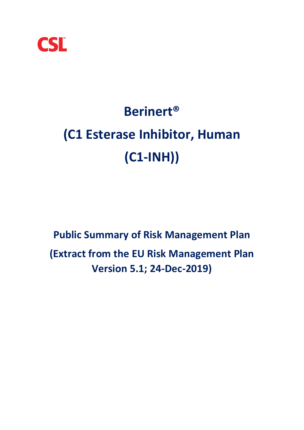

# **Berinert® (C1 Esterase Inhibitor, Human (C1-INH))**

**Public Summary of Risk Management Plan (Extract from the EU Risk Management Plan Version 5.1; 24-Dec-2019)**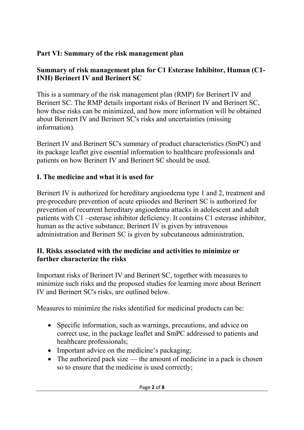## **Part VI: Summary of the risk management plan**

#### **Summary of risk management plan for C1 Esterase Inhibitor, Human (C1- INH) Berinert IV and Berinert SC**

This is a summary of the risk management plan (RMP) for Berinert IV and Berinert SC. The RMP details important risks of Berinert IV and Berinert SC, how these risks can be minimized, and how more information will be obtained about Berinert IV and Berinert SC's risks and uncertainties (missing information).

Berinert IV and Berinert SC's summary of product characteristics (SmPC) and its package leaflet give essential information to healthcare professionals and patients on how Berinert IV and Berinert SC should be used.

## **I. The medicine and what it is used for**

Berinert IV is authorized for hereditary angioedema type 1 and 2, treatment and pre-procedure prevention of acute episodes and Berinert SC is authorized for prevention of recurrent hereditary angioedema attacks in adolescent and adult patients with C1 –esterase inhibitor deficiency. It contains C1 esterase inhibitor, human as the active substance; Berinert IV is given by intravenous administration and Berinert SC is given by subcutaneous administration.

#### **II. Risks associated with the medicine and activities to minimize or further characterize the risks**

Important risks of Berinert IV and Berinert SC, together with measures to minimize such risks and the proposed studies for learning more about Berinert IV and Berinert SC's risks, are outlined below.

Measures to minimize the risks identified for medicinal products can be:

- Specific information, such as warnings, precautions, and advice on correct use, in the package leaflet and SmPC addressed to patients and healthcare professionals;
- Important advice on the medicine's packaging;
- The authorized pack size the amount of medicine in a pack is chosen so to ensure that the medicine is used correctly;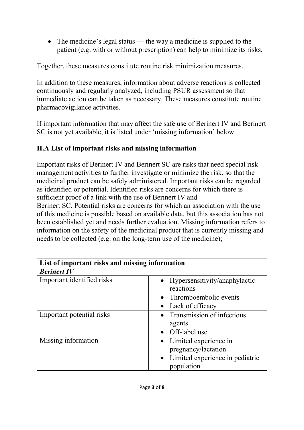• The medicine's legal status — the way a medicine is supplied to the patient (e.g. with or without prescription) can help to minimize its risks.

Together, these measures constitute routine risk minimization measures.

In addition to these measures, information about adverse reactions is collected continuously and regularly analyzed, including PSUR assessment so that immediate action can be taken as necessary. These measures constitute routine pharmacovigilance activities.

If important information that may affect the safe use of Berinert IV and Berinert SC is not yet available, it is listed under 'missing information' below.

### **II.A List of important risks and missing information**

Important risks of Berinert IV and Berinert SC are risks that need special risk management activities to further investigate or minimize the risk, so that the medicinal product can be safely administered. Important risks can be regarded as identified or potential. Identified risks are concerns for which there is sufficient proof of a link with the use of Berinert IV and

Berinert SC. Potential risks are concerns for which an association with the use of this medicine is possible based on available data, but this association has not been established yet and needs further evaluation. Missing information refers to information on the safety of the medicinal product that is currently missing and needs to be collected (e.g. on the long-term use of the medicine);

| List of important risks and missing information |                                                 |
|-------------------------------------------------|-------------------------------------------------|
| <b>Berinert IV</b>                              |                                                 |
| Important identified risks                      | • Hypersensitivity/anaphylactic<br>reactions    |
|                                                 | • Thromboembolic events                         |
|                                                 | • Lack of efficacy                              |
| Important potential risks                       | • Transmission of infectious<br>agents          |
|                                                 | • Off-label use                                 |
| Missing information                             | • Limited experience in<br>pregnancy/lactation  |
|                                                 | • Limited experience in pediatric<br>population |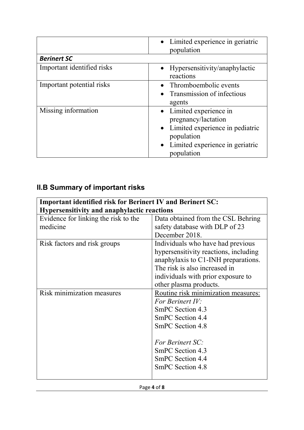|                            | • Limited experience in geriatric<br>population                                                                                                      |
|----------------------------|------------------------------------------------------------------------------------------------------------------------------------------------------|
| <b>Berinert SC</b>         |                                                                                                                                                      |
| Important identified risks | • Hypersensitivity/anaphylactic<br>reactions                                                                                                         |
| Important potential risks  | • Thromboembolic events<br>• Transmission of infectious<br>agents                                                                                    |
| Missing information        | • Limited experience in<br>pregnancy/lactation<br>• Limited experience in pediatric<br>population<br>• Limited experience in geriatric<br>population |

# **II.B Summary of important risks**

| <b>Important identified risk for Berinert IV and Berinert SC:</b> |                                       |  |
|-------------------------------------------------------------------|---------------------------------------|--|
| <b>Hypersensitivity and anaphylactic reactions</b>                |                                       |  |
| Evidence for linking the risk to the                              | Data obtained from the CSL Behring    |  |
| medicine                                                          | safety database with DLP of 23        |  |
|                                                                   | December 2018.                        |  |
| Risk factors and risk groups                                      | Individuals who have had previous     |  |
|                                                                   | hypersensitivity reactions, including |  |
|                                                                   | anaphylaxis to C1-INH preparations.   |  |
|                                                                   | The risk is also increased in         |  |
|                                                                   | individuals with prior exposure to    |  |
|                                                                   | other plasma products.                |  |
| <b>Risk minimization measures</b>                                 | Routine risk minimization measures:   |  |
|                                                                   | For Berinert IV:                      |  |
|                                                                   | SmPC Section 4.3                      |  |
|                                                                   | SmPC Section 4.4                      |  |
|                                                                   | SmPC Section 4.8                      |  |
|                                                                   |                                       |  |
|                                                                   | <b>For Berinert SC:</b>               |  |
|                                                                   | SmPC Section 4.3                      |  |
|                                                                   | SmPC Section 4.4                      |  |
|                                                                   | SmPC Section 4.8                      |  |
|                                                                   |                                       |  |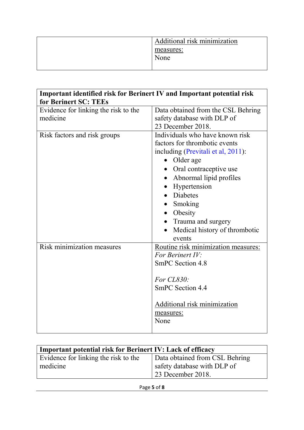| Additional risk minimization |
|------------------------------|
| measures:                    |
| None                         |

| Important identified risk for Berinert IV and Important potential risk |                                                   |
|------------------------------------------------------------------------|---------------------------------------------------|
| for Berinert SC: TEEs<br>Evidence for linking the risk to the          | Data obtained from the CSL Behring                |
| medicine                                                               | safety database with DLP of                       |
|                                                                        | 23 December 2018.                                 |
| Risk factors and risk groups                                           | Individuals who have known risk                   |
|                                                                        | factors for thrombotic events                     |
|                                                                        | including (Previtali et al, 2011):                |
|                                                                        | Older age<br>$\bullet$                            |
|                                                                        | Oral contraceptive use                            |
|                                                                        | Abnormal lipid profiles                           |
|                                                                        | Hypertension                                      |
|                                                                        | Diabetes                                          |
|                                                                        | • Smoking                                         |
|                                                                        | • Obesity                                         |
|                                                                        | Trauma and surgery                                |
|                                                                        | Medical history of thrombotic                     |
|                                                                        | events                                            |
| <b>Risk minimization measures</b>                                      | Routine risk minimization measures:               |
|                                                                        | For Berinert IV:                                  |
|                                                                        | <b>SmPC</b> Section 4.8                           |
|                                                                        | For $CL830$ :                                     |
|                                                                        | <b>SmPC Section 4.4</b>                           |
|                                                                        | Additional risk minimization<br>measures:<br>None |

| <b>Important potential risk for Berinert IV: Lack of efficacy</b> |                                |
|-------------------------------------------------------------------|--------------------------------|
| Evidence for linking the risk to the                              | Data obtained from CSL Behring |
| medicine                                                          | safety database with DLP of    |
|                                                                   | $\vert$ 23 December 2018.      |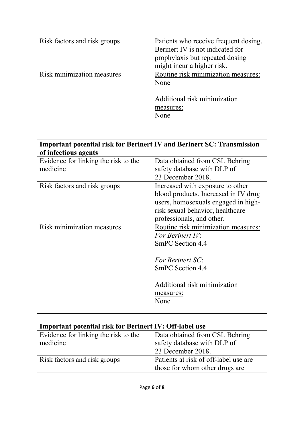| Risk factors and risk groups | Patients who receive frequent dosing.<br>Berinert IV is not indicated for<br>prophylaxis but repeated dosing<br>might incur a higher risk. |
|------------------------------|--------------------------------------------------------------------------------------------------------------------------------------------|
| Risk minimization measures   | Routine risk minimization measures:<br>None<br>Additional risk minimization<br>measures:<br>None                                           |

| <b>Important potential risk for Berinert IV and Berinert SC: Transmission</b> |                                      |
|-------------------------------------------------------------------------------|--------------------------------------|
| of infectious agents                                                          |                                      |
| Evidence for linking the risk to the                                          | Data obtained from CSL Behring       |
| medicine                                                                      | safety database with DLP of          |
|                                                                               | 23 December 2018.                    |
| Risk factors and risk groups                                                  | Increased with exposure to other     |
|                                                                               | blood products. Increased in IV drug |
|                                                                               | users, homosexuals engaged in high-  |
|                                                                               | risk sexual behavior, healthcare     |
|                                                                               | professionals, and other.            |
| <b>Risk minimization measures</b>                                             | Routine risk minimization measures:  |
|                                                                               | For Berinert IV:                     |
|                                                                               | <b>SmPC Section 4.4</b>              |
|                                                                               |                                      |
|                                                                               | For Berinert SC:                     |
|                                                                               | SmPC Section 4.4                     |
|                                                                               |                                      |
|                                                                               | Additional risk minimization         |
|                                                                               | measures:                            |
|                                                                               | None                                 |
|                                                                               |                                      |

| <b>Important potential risk for Berinert IV: Off-label use</b> |                                       |
|----------------------------------------------------------------|---------------------------------------|
| Evidence for linking the risk to the                           | Data obtained from CSL Behring        |
| medicine                                                       | safety database with DLP of           |
|                                                                | 23 December 2018.                     |
| Risk factors and risk groups                                   | Patients at risk of off-label use are |
|                                                                | those for whom other drugs are        |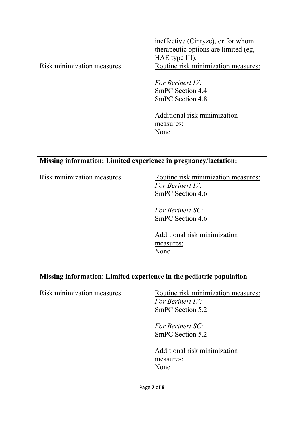|                            | ineffective (Cinryze), or for whom   |
|----------------------------|--------------------------------------|
|                            | therapeutic options are limited (eg, |
|                            | HAE type III).                       |
| Risk minimization measures | Routine risk minimization measures:  |
|                            |                                      |
|                            | For Berinert IV:                     |
|                            | SmPC Section 4.4                     |
|                            | SmPC Section 4.8                     |
|                            |                                      |
|                            | Additional risk minimization         |
|                            | measures:                            |
|                            | None                                 |
|                            |                                      |

| Missing information: Limited experience in pregnancy/lactation: |                                                                                                                                                                          |
|-----------------------------------------------------------------|--------------------------------------------------------------------------------------------------------------------------------------------------------------------------|
| Risk minimization measures                                      | Routine risk minimization measures:<br>For Berinert IV:<br>SmPC Section 4.6<br>For Berinert SC:<br>SmPC Section 4.6<br>Additional risk minimization<br>measures:<br>None |

|                            | Missing information: Limited experience in the pediatric population         |
|----------------------------|-----------------------------------------------------------------------------|
| Risk minimization measures | Routine risk minimization measures:<br>For Berinert IV:<br>SmPC Section 5.2 |
|                            | <b>For Berinert SC:</b><br>SmPC Section 5.2                                 |
|                            | Additional risk minimization<br>measures:<br>None                           |